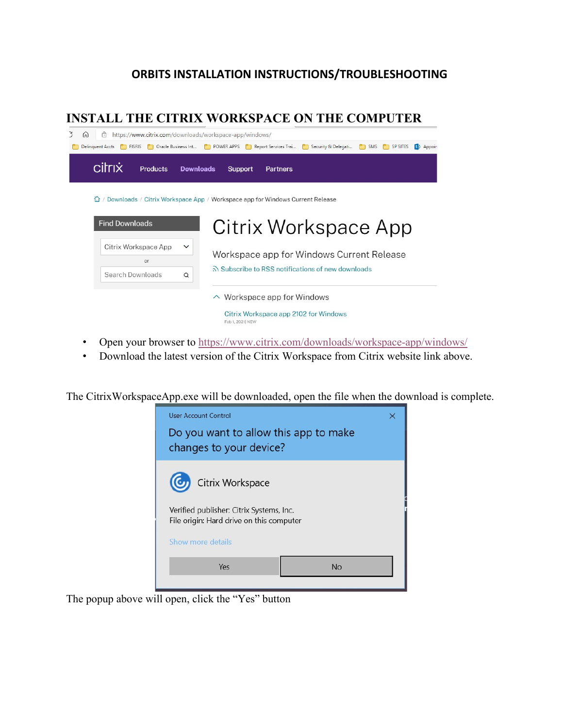## **ORBITS INSTALLATION INSTRUCTIONS/TROUBLESHOOTING**

## **INSTALL THE CITRIX WORKSPACE ON THE COMPUTER**



- Open your browser to<https://www.citrix.com/downloads/workspace-app/windows/>
- Download the latest version of the Citrix Workspace from Citrix website link above.

The CitrixWorkspaceApp.exe will be downloaded, open the file when the download is complete.



The popup above will open, click the "Yes" button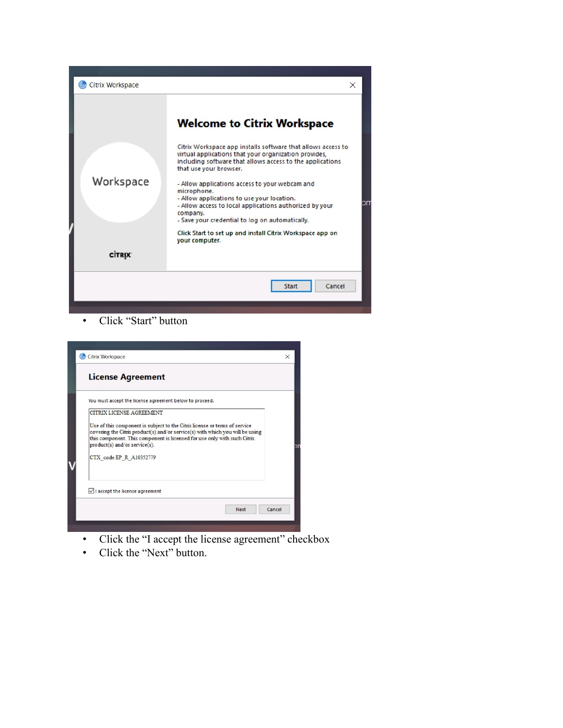

• Click "Start" button

| You must accept the license agreement below to proceed.                                                                                                   |  |
|-----------------------------------------------------------------------------------------------------------------------------------------------------------|--|
| CITRIX LICENSE AGREEMENT                                                                                                                                  |  |
| Use of this component is subject to the Citrix license or terms of service                                                                                |  |
| covering the Citrix product(s) and/or service(s) with which you will be using<br>this component. This component is licensed for use only with such Citrix |  |
| product(s) and/or service(s).                                                                                                                             |  |
| CTX code EP R A10352779                                                                                                                                   |  |
|                                                                                                                                                           |  |
|                                                                                                                                                           |  |

- Click the "I accept the license agreement" checkbox
- Click the "Next" button.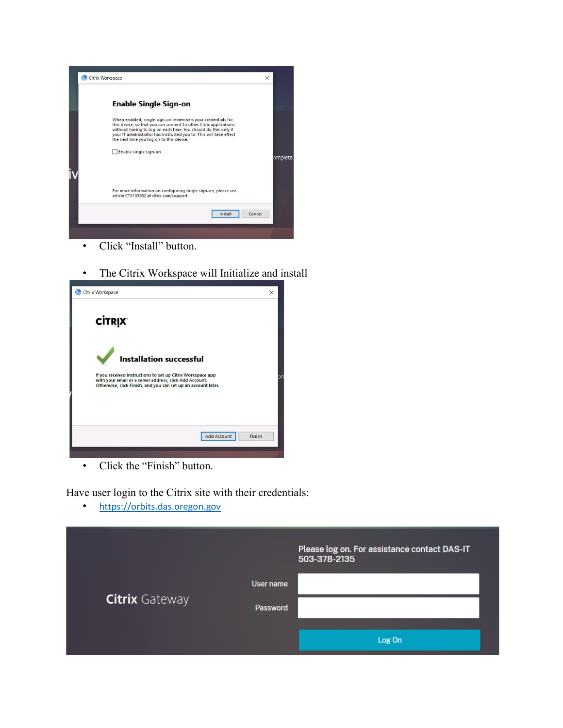

- Click "Install" button.
- The Citrix Workspace will Initialize and install



• Click the "Finish" button.

Have user login to the Citrix site with their credentials:

• [https://orbits.das.oregon.gov](https://orbits.das.oregon.gov/)

|                       |                       | Please log on. For assistance contact DAS-IT<br>503-378-2135 |
|-----------------------|-----------------------|--------------------------------------------------------------|
| <b>Citrix Gateway</b> | User name<br>Password |                                                              |
|                       |                       | Log On                                                       |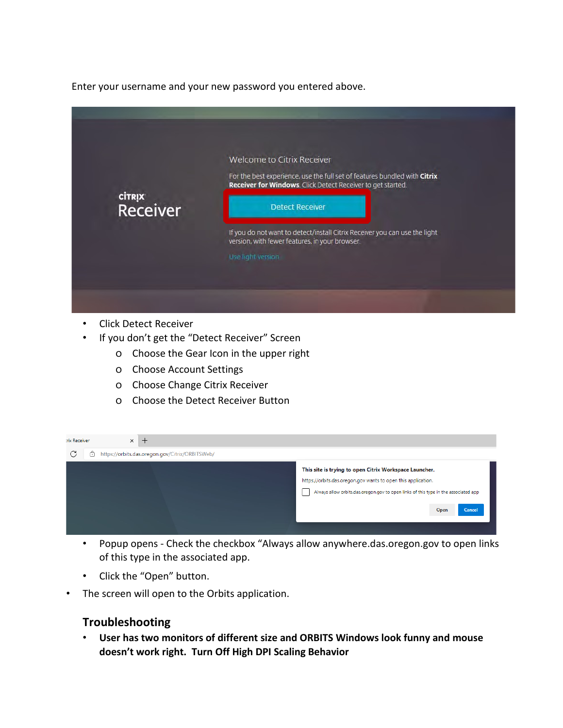Enter your username and your new password you entered above.



- Click Detect Receiver
- If you don't get the "Detect Receiver" Screen
	- o Choose the Gear Icon in the upper right
	- o Choose Account Settings
	- o Choose Change Citrix Receiver
	- o Choose the Detect Receiver Button

| <b>rix Receiver</b> | $\times$<br>-                                        |                                                                                                                                                                                                                                                    |
|---------------------|------------------------------------------------------|----------------------------------------------------------------------------------------------------------------------------------------------------------------------------------------------------------------------------------------------------|
| G                   | â<br>https://orbits.das.oregon.gov/Citrix/ORBITSWeb/ |                                                                                                                                                                                                                                                    |
|                     |                                                      | This site is trying to open Citrix Workspace Launcher.<br>https://orbits.das.oregon.gov wants to open this application.<br>Always allow orbits.das.oregon.gov to open links of this type in the associated app<br>$\blacksquare$<br>Open<br>Cancel |
|                     |                                                      |                                                                                                                                                                                                                                                    |

- Popup opens Check the checkbox "Always allow anywhere.das.oregon.gov to open links of this type in the associated app.
- Click the "Open" button.
- The screen will open to the Orbits application.

## **Troubleshooting**

• **User has two monitors of different size and ORBITS Windows look funny and mouse doesn't work right. Turn Off High DPI Scaling Behavior**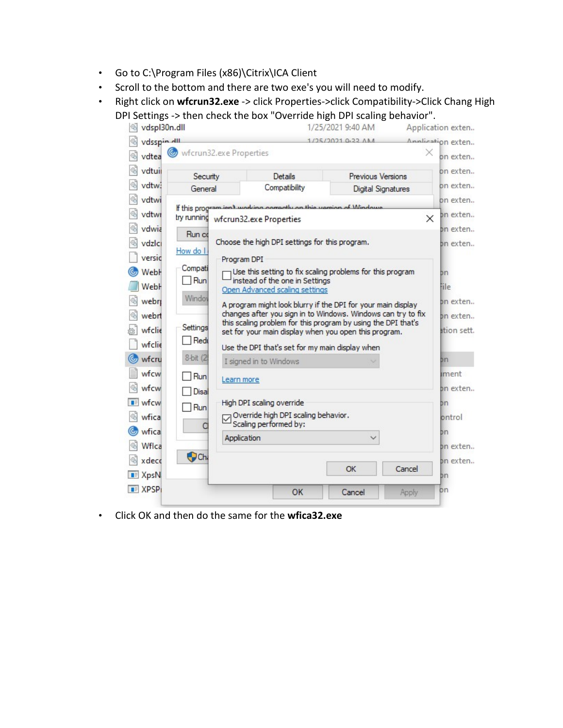- Go to C:\Program Files (x86)\Citrix\ICA Client
- Scroll to the bottom and there are two exe's you will need to modify.
- Right click on **wfcrun32.exe** -> click Properties->click Compatibility->Click Chang High DPI Settings -> then check the box "Override high DPI scaling behavior".



• Click OK and then do the same for the **wfica32.exe**